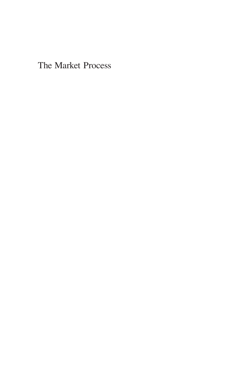The Market Process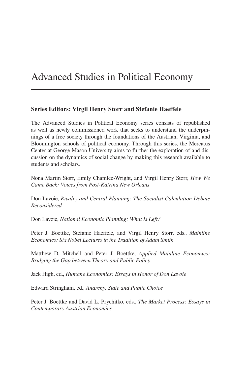## Advanced Studies in Political Economy

#### **Series Editors: Virgil Henry Storr and Stefanie Haeffele**

The Advanced Studies in Political Economy series consists of republished as well as newly commissioned work that seeks to understand the underpinnings of a free society through the foundations of the Austrian, Virginia, and Bloomington schools of political economy. Through this series, the Mercatus Center at George Mason University aims to further the exploration of and discussion on the dynamics of social change by making this research available to students and scholars.

Nona Martin Storr, Emily Chamlee-Wright, and Virgil Henry Storr, *How We Came Back: Voices from Post-Katrina New Orleans*

Don Lavoie, *Rivalry and Central Planning: The Socialist Calculation Debate Reconsidered*

Don Lavoie, *National Economic Planning: What Is Left?*

Peter J. Boettke, Stefanie Haeffele, and Virgil Henry Storr, eds., *Mainline Economics: Six Nobel Lectures in the Tradition of Adam Smith*

Matthew D. Mitchell and Peter J. Boettke, *Applied Mainline Economics: Bridging the Gap between Theory and Public Policy*

Jack High, ed., *Humane Economics: Essays in Honor of Don Lavoie*

Edward Stringham, ed., *Anarchy, State and Public Choice*

Peter J. Boettke and David L. Prychitko, eds., *The Market Process: Essays in Contemporary Austrian Economics*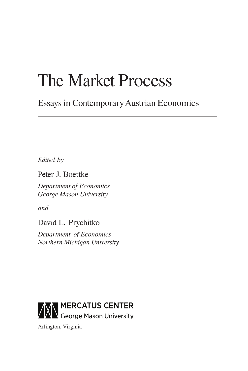# The Market Process

Essays in Contemporary Austrian Economics

*Edited by*

Peter J. Boettke

*Department of Economics George Mason University*

*and*

David L. Prychitko

*Department of Economics Northern Michigan University*



Arlington, Virginia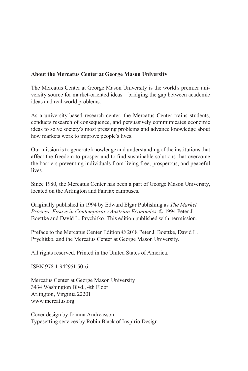#### **About the Mercatus Center at George Mason University**

The Mercatus Center at George Mason University is the world's premier university source for market-oriented ideas—bridging the gap between academic ideas and real-world problems.

As a university-based research center, the Mercatus Center trains students, conducts research of consequence, and persuasively communicates economic ideas to solve society's most pressing problems and advance knowledge about how markets work to improve people's lives.

Our mission is to generate knowledge and understanding of the institutions that affect the freedom to prosper and to find sustainable solutions that overcome the barriers preventing individuals from living free, prosperous, and peaceful lives.

Since 1980, the Mercatus Center has been a part of George Mason University, located on the Arlington and Fairfax campuses.

Originally published in 1994 by Edward Elgar Publishing as *The Market Process: Essays in Contemporary Austrian Economics*. © 1994 Peter J. Boettke and David L. Prychitko. This edition published with permission.

Preface to the Mercatus Center Edition © 2018 Peter J. Boettke, David L. Prychitko, and the Mercatus Center at George Mason University.

All rights reserved. Printed in the United States of America.

ISBN 978-1-942951-50-6

Mercatus Center at George Mason University 3434 Washington Blvd., 4th Floor Arlington, Virginia 22201 www.mercatus.org

Cover design by Joanna Andreasson Typesetting services by Robin Black of Inspirio Design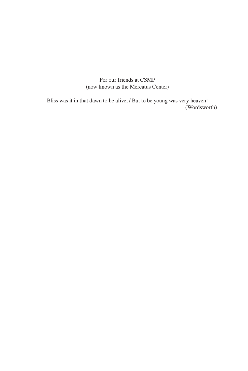For our friends at CSMP (now known as the Mercatus Center)

Bliss was it in that dawn to be alive, / But to be young was very heaven! (Wordsworth)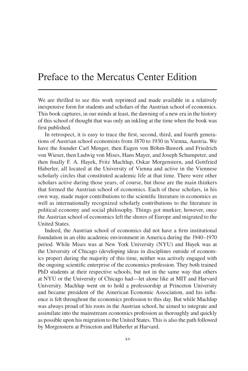### Preface to the Mercatus Center Edition

We are thrilled to see this work reprinted and made available in a relatively inexpensive form for students and scholars of the Austrian school of economics. This book captures, in our minds at least, the dawning of a new era in the history of this school of thought that was only an inkling at the time when the book was first published.

In retrospect, it is easy to trace the first, second, third, and fourth generations of Austrian school economists from 1870 to 1930 in Vienna, Austria. We have the founder Carl Menger, then Eugen von Böhm-Bawerk and Friedrich von Wieser, then Ludwig von Mises, Hans Mayer, and Joseph Schumpeter, and then finally F. A. Hayek, Fritz Machlup, Oskar Morgenstern, and Gottfried Haberler, all located at the University of Vienna and active in the Viennese scholarly circles that constituted academic life at that time. There were other scholars active during those years, of course, but those are the main thinkers that formed the Austrian school of economics. Each of these scholars, in his own way, made major contributions to the scientific literature in economics as well as internationally recognized scholarly contributions to the literature in political economy and social philosophy. Things got murkier, however, once the Austrian school of economics left the shores of Europe and migrated to the United States.

Indeed, the Austrian school of economics did not have a firm institutional foundation in an elite academic environment in America during the 1940–1970 period. While Mises was at New York University (NYU) and Hayek was at the University of Chicago (developing ideas in disciplines outside of economics proper) during the majority of this time, neither was actively engaged with the ongoing scientific enterprise of the economics profession. They both trained PhD students at their respective schools, but not in the same way that others at NYU or the University of Chicago had—let alone like at MIT and Harvard University. Machlup went on to hold a professorship at Princeton University and became president of the American Economic Association, and his influence is felt throughout the economics profession to this day. But while Machlup was always proud of his roots in the Austrian school, he aimed to integrate and assimilate into the mainstream economics profession as thoroughly and quickly as possible upon his migration to the United States. This is also the path followed by Morgenstern at Princeton and Haberler at Harvard.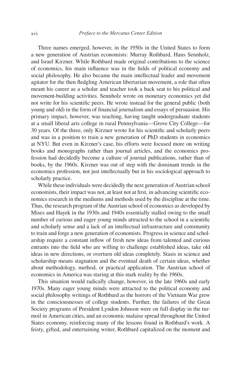Three names emerged, however, in the 1950s in the United States to form a new generation of Austrian economists: Murray Rothbard, Hans Sennholz, and Israel Kirzner. While Rothbard made original contributions to the science of economics, his main influence was in the fields of political economy and social philosophy. He also became the main intellectual leader and movement agitator for the then fledgling American libertarian movement, a role that often meant his career as a scholar and teacher took a back seat to his political and movement-building activities. Sennholz wrote on monetary economics yet did not write for his scientific peers. He wrote instead for the general public (both young and old) in the form of financial journalism and essays of persuasion. His primary impact, however, was teaching, having taught undergraduate students at a small liberal arts college in rural Pennsylvania—Grove City College—for 30 years. Of the three, only Kirzner wrote for his scientific and scholarly peers and was in a position to train a new generation of PhD students in economics at NYU. But even in Kirzner's case, his efforts were focused more on writing books and monographs rather than journal articles, and the economics profession had decidedly become a culture of journal publications, rather than of books, by the 1960s. Kirzner was out of step with the dominant trends in the economics profession, not just intellectually but in his sociological approach to scholarly practice.

While these individuals were decidedly the next generation of Austrian school economists, their impact was not, at least not at first, in advancing scientific economics research in the mediums and methods used by the discipline at the time. Thus, the research program of the Austrian school of economics as developed by Mises and Hayek in the 1930s and 1940s essentially stalled owing to the small number of curious and eager young minds attracted to the school in a scientific and scholarly sense and a lack of an intellectual infrastructure and community to train and forge a new generation of economists. Progress in science and scholarship require a constant inflow of fresh new ideas from talented and curious entrants into the field who are willing to challenge established ideas, take old ideas in new directions, or overturn old ideas completely. Stasis in science and scholarship means stagnation and the eventual death of certain ideas, whether about methodology, method, or practical application. The Austrian school of economics in America was staring at this stark reality by the 1960s.

This situation would radically change, however, in the late 1960s and early 1970s. Many eager young minds were attracted to the political economy and social philosophy writings of Rothbard as the horrors of the Vietnam War grew in the consciousnesses of college students. Further, the failures of the Great Society programs of President Lyndon Johnson were on full display in the turmoil in American cities, and an economic malaise spread throughout the United States economy, reinforcing many of the lessons found in Rothbard's work. A feisty, gifted, and entertaining writer, Rothbard capitalized on the moment and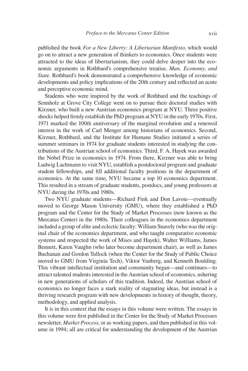published the book *For a New Liberty: A Libertarian Manifesto*, which would go on to attract a new generation of thinkers to economics. Once students were attracted to the ideas of libertarianism, they could delve deeper into the economic arguments in Rothbard's comprehensive treatise, *Man, Economy, and State*. Rothbard's book demonstrated a comprehensive knowledge of economic developments and policy implications of the 20th century and reflected an acute and perceptive economic mind.

Students who were inspired by the work of Rothbard and the teachings of Sennholz at Grove City College went on to pursue their doctoral studies with Kirzner, who built a new Austrian economics program at NYU. Three positive shocks helped firmly establish the PhD program at NYU in the early 1970s. First, 1971 marked the 100th anniversary of the marginal revolution and a renewed interest in the work of Carl Menger among historians of economics. Second, Kirzner, Rothbard, and the Institute for Humane Studies initiated a series of summer seminars in 1974 for graduate students interested in studying the contributions of the Austrian school of economics. Third, F. A. Hayek was awarded the Nobel Prize in economics in 1974. From there, Kirzner was able to bring Ludwig Lachmann to visit NYU, establish a postdoctoral program and graduate student fellowships, and fill additional faculty positions in the department of economics. At the same time, NYU became a top 10 economics department. This resulted in a stream of graduate students, postdocs, and young professors at NYU during the 1970s and 1980s.

Two NYU graduate students—Richard Fink and Don Lavoie—eventually moved to George Mason University (GMU), where they established a PhD program and the Center for the Study of Market Processes (now known as the Mercatus Center) in the 1980s. Their colleagues in the economics department included a group of elite and eclectic faculty: William Snavely (who was the original chair of the economics department, and who taught comparative economic systems and respected the work of Mises and Hayek), Walter Williams, James Bennett, Karen Vaughn (who later become department chair), as well as James Buchanan and Gordon Tullock (when the Center for the Study of Public Choice moved to GMU from Virginia Tech), Viktor Vanberg, and Kenneth Boulding. This vibrant intellectual institution and community began—and continues—to attract talented students interested in the Austrian school of economics, ushering in new generations of scholars of this tradition. Indeed, the Austrian school of economics no longer faces a stark reality of stagnating ideas, but instead is a thriving research program with new developments in history of thought, theory, methodology, and applied analysis.

It is in this context that the essays in this volume were written. The essays in this volume were first published in the Center for the Study of Market Processes newsletter, *Market Process*, or as working papers, and then published in this volume in 1994; all are critical for understanding the development of the Austrian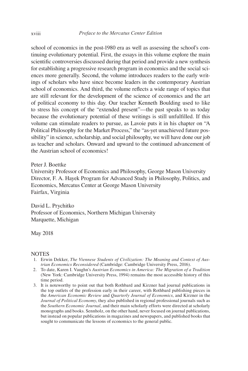school of economics in the post-1980 era as well as assessing the school's continuing evolutionary potential. First, the essays in this volume explore the main scientific controversies discussed during that period and provide a new synthesis for establishing a progressive research program in economics and the social sciences more generally. Second, the volume introduces readers to the early writings of scholars who have since become leaders in the contemporary Austrian school of economics. And third, the volume reflects a wide range of topics that are still relevant for the development of the science of economics and the art of political economy to this day. Our teacher Kenneth Boulding used to like to stress his concept of the "extended present"—the past speaks to us today because the evolutionary potential of these writings is still unfulfilled. If this volume can stimulate readers to pursue, as Lavoie puts it in his chapter on "A Political Philosophy for the Market Process," the "as-yet unachieved future possibility" in science, scholarship, and social philosophy, we will have done our job as teacher and scholars. Onward and upward to the continued advancement of the Austrian school of economics!

Peter J. Boettke

University Professor of Economics and Philosophy, George Mason University Director, F. A. Hayek Program for Advanced Study in Philosophy, Politics, and Economics, Mercatus Center at George Mason University Fairfax, Virginia

David L. Prychitko Professor of Economics, Northern Michigan University Marquette, Michigan

May 2018

#### **NOTES**

- 1. Erwin Dekker, *The Viennese Students of Civilization: The Meaning and Context of Austrian Economics Reconsidered* (Cambridge: Cambridge University Press, 2016).
- 2. To date, Karen I. Vaughn's *Austrian Economics in America: The Migration of a Tradition* (New York: Cambridge University Press, 1994) remains the most accessible history of this time period.
- 3. It is noteworthy to point out that both Rothbard and Kirzner had journal publications in the top outlets of the profession early in their career, with Rothbard publishing pieces in the *American Economic Review* and *Quarterly Journal of Economics*, and Kirzner in the *Journal of Political Economy*, they also published in regional professional journals such as the *Southern Economic Journal*, and their main scholarly efforts were directed at scholarly monographs and books. Sennholz, on the other hand, never focused on journal publications, but instead on popular publications in magazines and newspapers, and published books that sought to communicate the lessons of economics to the general public.